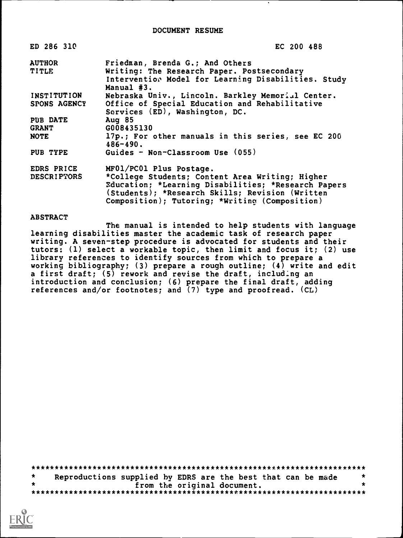DOCUMENT RESUME

| ED 286 310          | EC 200 488                                                                                                                                                                                                   |
|---------------------|--------------------------------------------------------------------------------------------------------------------------------------------------------------------------------------------------------------|
| <b>AUTHOR</b>       | Friedman, Brenda G.; And Others                                                                                                                                                                              |
| TITLE               | Writing: The Research Paper. Postsecondary<br>Intervention Model for Learning Disabilities. Study<br>Manual #3.                                                                                              |
| <b>INSTITUTION</b>  | Nebraska Univ., Lincoln. Barkley Memorial Center.                                                                                                                                                            |
| <b>SPONS AGENCY</b> | Office of Special Education and Rehabilitative<br>Services (ED), Washington, DC.                                                                                                                             |
| PUB DATE            | Aug $85$                                                                                                                                                                                                     |
| <b>GRANT</b>        | G008435130                                                                                                                                                                                                   |
| <b>NOTE</b>         | 17p.; For other manuals in this series, see EC 200<br>$486 - 490.$                                                                                                                                           |
| PUB TYPE            | Guides - Non-Classroom Use (055)                                                                                                                                                                             |
| EDRS PRICE          | MF01/PC01 Plus Postage.                                                                                                                                                                                      |
| <b>DESCRIPTORS</b>  | *College Students; Content Area Writing; Higher<br>Education; *Learning Disabilities; *Research Papers<br>(Students); *Research Skills; Revision (Written)<br>Composition); Tutoring; *Writing (Composition) |

#### **ABSTRACT**

The manual is intended to help students with language learning disabilities master the academic task of research paper writing. A seven-step procedure is advocated for students and their tutors: (1) select a workable topic, then limit and focus it; (2) use library references to identify sources from which to prepare a working bibliography; (3) prepare a rough outline; (4) write and edit a first draft; (5) rework and revise the draft, including an introduction and conclusion; (6) prepare the final draft, adding references and/or footnotes; and (7) type and proofread. (CL)

\*\*\*\*\*\*\*\*\*\*\*\*\*\*\*\*\*\*\*\*\*\*\*\*\*\*\*\*\*\*\*\*\*\*\*\*\*\*\*\*\*\*\*\*\*\*\*\*\*\*\*\*\*\*\*\*\*\*\*\*\*\*\*\*\*\*\*\*\*\*\*  $\star$ Reproductions supplied by EDRS are the best that can be made from the original document. \*\*\*\*\*\*\*\*\*\*\*\*\*\*\*\*\*\*\*\*\*\*\*\*\*\*\*\*\*\*\*\*\*\*\*\*\*\*\*\*\*\*\*\*\*\*\*\*\*\*\*\*\*\*\*\*\*\*\*\*\*\*\*\*\*\*\*\*\*\*\*

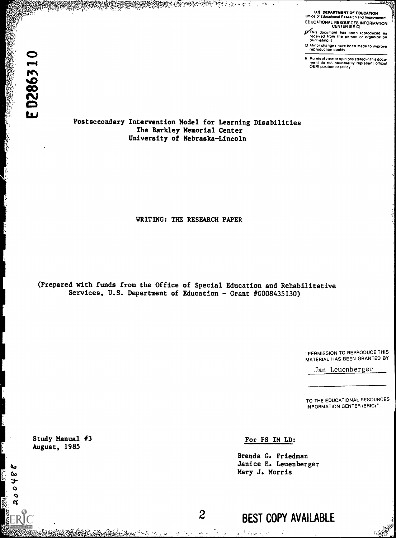**READY AND CONTROLLER** 

teres.

U.S DEPARTMENT OF EDUCATION Office of Educational Ritaatch and Improvement EDUCATIONAL RESOURCES INFORMATION CENTER (ERIC)

This document has been reproduced as<br>received from the person or organization ...<br>oriplinating it

Minor changes nave been made to improve reproduction quality (and the control of the Points of view or opinions stated in this docu-<br>The Points of view or opinions stated in this docu-

ment do not necessarily represent officu⊾t and the control of the state of the state of the state of the state of the state of the state of the state of the state of the state of the state of the state of the state of the

Postsecondary Intervention Model for Learning Disabilities The Barkley Memorial Center University of Nebraska-Lincoln

<u>SHERA AND AND THE SEARCH STATE OF THE STATE OF THE STATE OF THE STATE OF THE STATE OF THE STATE OF THE STATE OF THE STATE OF THE STATE OF THE STATE OF THE STATE OF THE STATE OF THE STATE OF THE STATE OF THE STATE OF THE S</u>

 $\gamma$  is  $\rightarrow$ 

WRITING: THE RESEARCH PAPER

(Prepared with funds from the Office of Special Education and Rehabilitative Services, U.S. Department of Education - Grant #G008435130)

> "PERMISSION TO REPRODUCE THIS MATERIAL HAS BEEN GRANTED BY

Jan Leuenberger

TO THE EDUCATIONAL RESOURCES INFORMATION CENTER (ERIC)"

Study Manual #3 For FS IM LD: August, 1985

20048

a<sup>ng</sup> Premi

 $\sim$   $\star$ 

Brenda G. Friedman Janice E. Leuenberger Mary J. Morris

2 BEST COPY AVAILABLE

به فلا راجيه؟ الله الألوكي ولا لأن يُنْ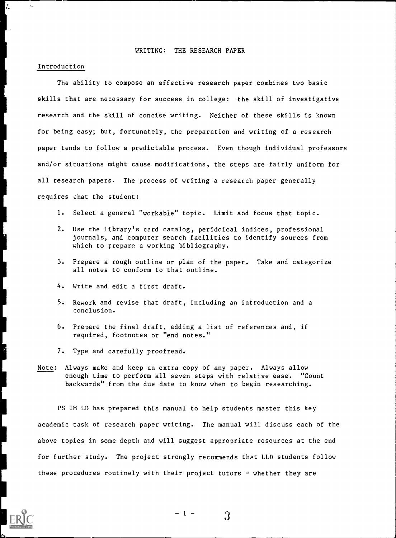### WRITING: THE RESEARCH PAPER

#### Introduction

The ability to compose an effective research paper combines two basic skills that are necessary for success in college: the skill of investigative research and the skill of concise writing. Neither of these skills is known for being easy; but, fortunately, the preparation and writing of a research paper tends to follow a predictable process. Even though individual professors and/or situations might cause modifications, the steps are fairly uniform for all research papers. The process of writing a research paper generally requires chat the student:

- 1. Select a general "workable" topic. Limit and focus that topic.
- 2. Use the library's card catalog, peridoical indices, professional journals, and computer search facilities to identify sources from which to rrepare a working bibliography.
- 3. Prepare a rough outline or plan of the paper. Take and categorize all notes to conform to that outline.
- 4. Write and edit a first draft.
- 5. Rework and revise that draft, including an introduction and a conclusion.
- 6. Prepare the final draft, adding a list of references and, if required, footnotes or "end notes."
- 7. Type and carefully proofread.
- Note: Always make and keep an extra copy of any paper. Always allow enough time to perform all seven steps with relative ease. "Count backwards" from the due date to know when to begin researching.

PS IM LD has prepared this manual to help students master this key academic task of research paper writing. The manual will discuss each of the above topics in some depth and will suggest appropriate resources at the end for further study. The project strongly recommends that LLD students follow these procedures routinely with their project tutors  $-$  whether they are



3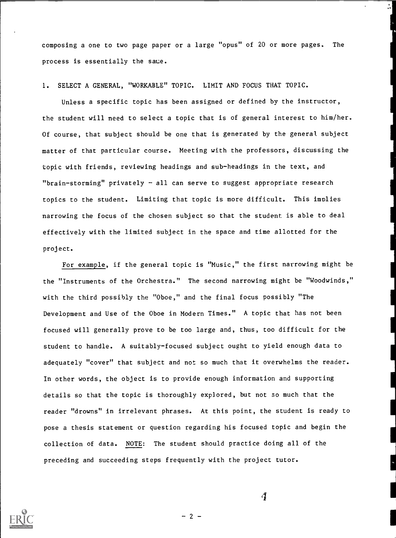composing a one to two page paper or a large "opus" of 20 or more pages. The process is essentially the saue.

1. SELECT A GENERAL, "WORKABLE" TOPIC. LIMIT AND FOCUS THAT TOPIC.

Unless a specific topic has been assigned or defined by the instructor, the student will need to select a topic that is of general interest to him/her. Of course, that subject should be one that is generated by the general subject matter of that particular course. Meeting with the professors, discussing the topic with friends, reviewing headings and sub-headings in the text, and "brain-storming" privately  $-$  all can serve to suggest appropriate research topics to the student. Limiting that topic is more difficult. This implies narrowing the focus of the chosen subject so that the student is able to deal effectively with the limited subject in the space and time allotted for the project.

For example, if the general topic is "Music," the first narrowing might be the "Instruments of the Orchestra." The second narrowing might be "Woodwinds," with the third possibly the "Oboe," and the final focus possibly "The Development and Use of the Oboe in Modern Times." A topic that has not been focused will generally prove to be too large and, thus, too difficult for the student to handle. A suitably-focused subject ought to yield enough data to adequately "cover" that subject and not so much that it overwhelms the reader. In other words, the object is to provide enough information and supporting details so that the topic is thoroughly explored, but not so much that the reader "drowns" in irrelevant phrases. At this point, the student is ready to pose a thesis statement or question regarding his focused topic and begin the collection of data. NOTE: The student should practice doing all of the preceding and succeeding steps frequently with the project tutor.



 $\boldsymbol{d}$ 

 $-2 -$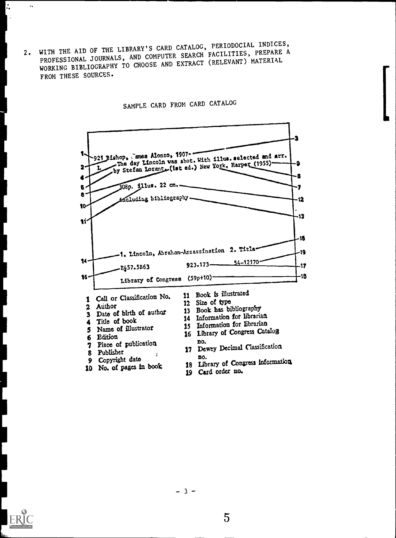2. WITH THE AID OF THE LIBRARY'S CARD CATALOG, PERIODOCIAL INDICES, PROFESSIONAL JOURNALS, AND COMPUTER SEARCH FACILITIES, PREPARE A WORKING BIBLIOGRAPHY TO CHOOSE AND EXTRACT (RELEVANT) MATERIAL FROM THESE SOURCES.

SAMPLE CARD FROM CARD CATALOG







ŀ.

 $\ddotsc$ 

 $-3-$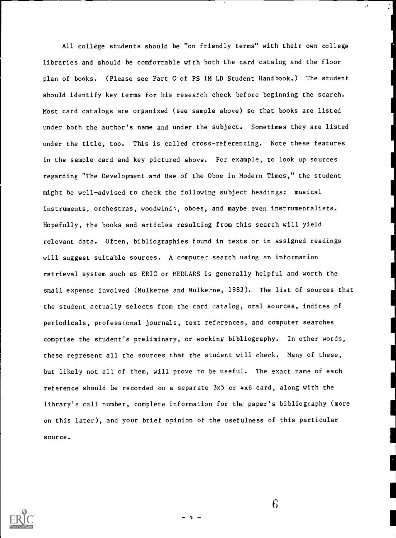All college students should be "on friendly terms" with their own college libraries and should be comfortable with both the card catalog and the floor plan of books. (Please see Part C of PS IM LD Student Handbook.) The student should identify key terms for his research check before beginning the search. Most card catalogs are organized (see sample above) so that books are listed under both the author's name and under the subject. Sometimes they are listed under the title, too. This is called cross-referencing. Note these features in the sample card and key pictured above. For example, to look up sources regarding "The Development and Use of the Oboe in Modern Times," the student might be well-advised to check the following subject headings: musical instruments, orchestras, woodwinds, oboes, and maybe even instrumentalists. Hopefully, the books and articles resulting from this search will yield relevant data. Often, bibliographies found in texts or in assigned readings will suggest suitable sources. A computer search using an information retrieval system such as ERIC or MEDLARS is generally helpful and worth the small expense involved (Mulkerne and Mulkerne, 1983). The list of sources that the student actually selects from the card catalog, oral sources, indices of periodicals, professional journals, text references, and computer searches comprise the student's preliminary, or working bibliography. In other words, these represent all the sources that the student will check. Many of these, but likely not all of them, will prove to be useful. The exact name of each reference should be recorded on a separate 3x5 or 4x6 card, along with the library's call number, complete information for the paper's bibliography (more on this later), and your brief opinion of the usefulness of this particular source.



6

4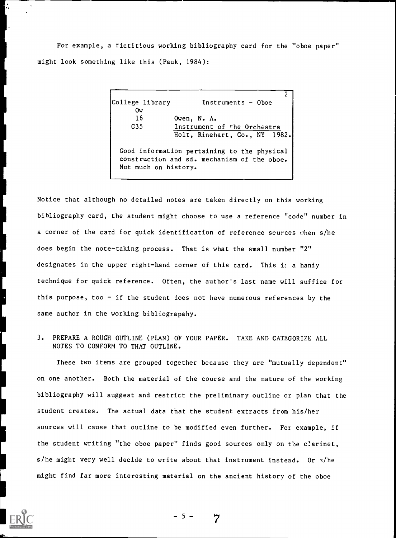For example, a fictitious working bibliography card for the "oboe paper" might look something like this (Pauk, 1984):

> $\overline{2}$ College library **Instruments - Oboe** Ow 16 Owen, N. A. G35 Instrument of the Orchestra Holt, Rinehart, Co., NY 1982. Good information pertaining to the physical construction and sd. mechanism of the oboe. Not much on history.

Notice that although no detailed notes are taken directly on this working bibliography card, the student might choose to use a reference "code" number in a corner of the card for quick identification of reference sources when s/he does begin the note-taking process. That is what the small number "2" designates in the upper right-hand corner of this card. This is a handy technique for quick reference. Often, the author's last name will suffice for this purpose, too  $-$  if the student does not have numerous references by the same author in the working bibliograpahy.

3. PREPARE A ROUGH OUTLINE (PLAN) OF YOUR PAPER. TAKE AND CATEGORIZE ALL NOTES TO CONFORM TO THAT OUTLINE.

These two items are grouped together because they are "mutually dependent" on one another. Both the material of the course and the nature of the working bibliography will suggest and restrict the preliminary outline or plan that the student creates. The actual data that the student extracts from his/her sources will cause that outline to be modified even further. For example, if the student writing "the oboe paper" finds good sources only on the clarinet, s/he might very well decide to write about that instrument instead. Or s/he might find far more interesting material on the ancient history of the oboe



-5-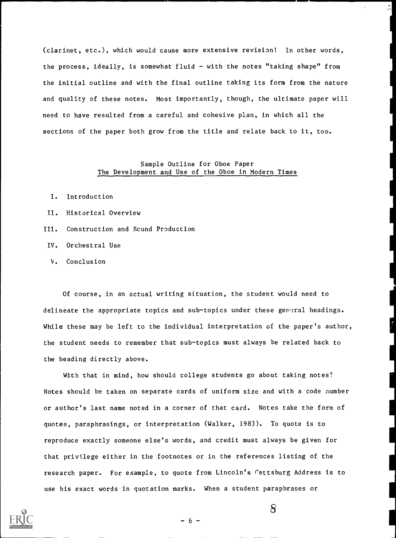(clarinet, etc.), which would cause more extensive revision! In other words, the process, ideally, is somewhat fluid  $-$  with the notes "taking shape" from the initial outline and with the final outline taking its form from the nature and quality of these notes. Most importantly, though, the ultimate paper will need to have resulted from a careful and cohesive plan, in which all the sections of the paper both grow from the title and relate back to it, too.

# Sample Outline for Oboe Paper The Development and Use of the Oboe in Modern Times

- I. Introduction
- II. Historical Overview
- III. Construction and Scund Production
- IV. Orchestral Use
- V. Conclusion

Of course, in an actual writing situation, the student would need to delineate the appropriate topics and sub-topics under these general headings. While these may be left to the individual interpretation of the paper's author, the student needs to remember that sub-topics must always be related back to the heading directly above.

With that in mind, how should college students go about taking notes? Notes should be taken on separate cards of uniform size and with a code number or author's last name noted in a corner of that card. Notes take the form of quotes, paraphrasings, or interpretation (Walker, 1983). To quote is to reproduce exactly someone else's words, and credit must always be given for that privilege either in the footnotes or in the references listing of the research paper. For example, to quote from Lincoln's Cettsburg Address is to use his exact words in quotation marks. When a student paraphrases or

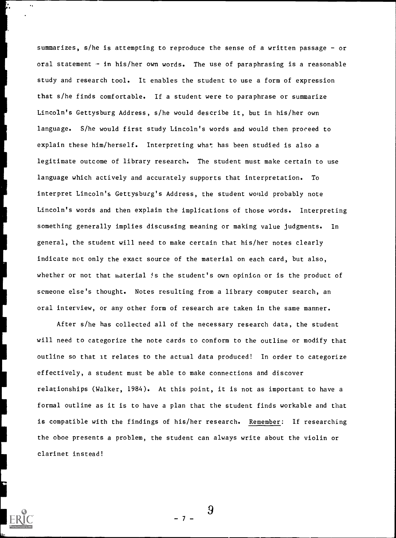summarizes, s/he is attempting to reproduce the sense of a written passage - or oral statement - in his/her own words. The use of paraphrasing is a reasonable study and research tool. It enables the student to use a form of expression that s/he finds comfortable. If a student were to paraphrase or summarize Lincoln's Gettysburg Address, s/he would describe it, but in his/her own language. S/he would first study Lincoln's words and would then proceed to explain these him/herself. Interpreting what has been studied is also a legitimate outcome of library research. The student must make certain to use language which actively and accurately supports that interpretation. To interpret Lincoln's Gettysburg's Address, the student would probably note Lincoln's words and then explain the implications of those words. Interpreting something generally implies discussing meaning or making value judgments. In general, the student will need to make certain that his/her notes clearly indicate not only the exact source of the material on each card, but also, whether or not that material is the student's own opinion or is the product of scmeone else's thought. Notes resulting from a library computer search, an oral interview, or any other form of research are taken in the same manner.

After s/he has collected all of the necessary research data, the student will need to categorize the note cards to conform to the outline or modify that outline so that it relates to the actual data produced! In order to categorize effectively, a student must be able to make connections and discover relationships (Walker, 1984). At this point, it is not as important to have a formal outline as it is to have a plan that the student finds workable and that is compatible with the findings of his/her research. Remember: If researching the oboe presents a problem, the student can always write about the violin or clarinet instead!

9

 $7 -$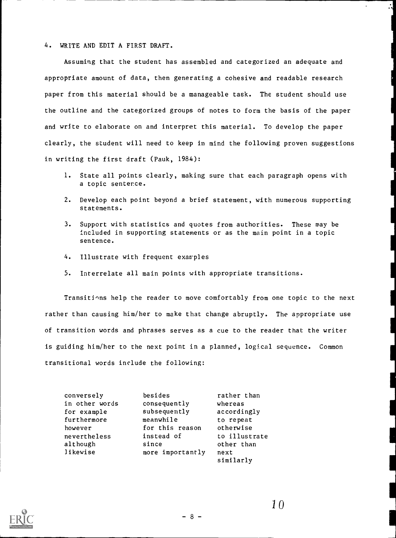#### 4. WRITE AND EDIT A FIRST DRAFT.

Assuming that the student has assembled and categorized an adequate and appropriate amount of data, then generating a cohesive and readable research paper from this material should be a manageable task. The student should use the outline and the categorized groups of notes to form the basis of the paper and write to elaborate on and interpret this material. To develop the paper clearly, the student will need to keep in mind the following proven suggestions in writing the first draft (Pauk, 1984):

- 1. State all points clearly, making sure that each paragraph opens with a topic sentence.
- 2. Develop each point beyond a brief statement, with numerous supporting statements.
- 3. Support with statistics and quotes from authorities. These may be included in supporting statements or as the main point in a topic sentence.
- 4. Illustrate with frequent examples
- 5. Interrelate all main points with appropriate transitions.

Transitions help the reader to move comfortably from one topic to the next rather than causing him/her to make that change abruptly. The appropriate use of transition words and phrases serves as a cue to the reader that the writer is guiding him/her to the next point in a planned, logical sequence. Commontransitional words include the following:

| conversely     | besides          | rather than   |  |
|----------------|------------------|---------------|--|
| in other words | consequently     | whereas       |  |
| for example    | subsequently     | accordingly   |  |
| furthermore    | meanwhile        | to repeat     |  |
| however        | for this reason  | otherwise     |  |
| nevertheless   | instead of       | to illustrate |  |
| although       | since            | other than    |  |
| likewise       | more importantly | next          |  |
|                |                  | similarly     |  |



- 8-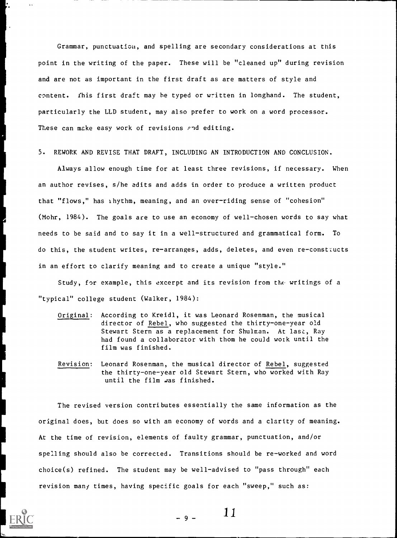Grammar, punctuation, and spelling are secondary considerations at this point in the writing of the paper. These will be "cleaned up" during revision and are not as important in the first draft as are matters of style and content. This first draft may he typed or written in longhand. The student, particularly the LLD student, may also prefer to work on a word processor. These can make easy work of revisions and editing.

5. REWORK AND REVISE THAT DRAFT, INCLUDING AN INTRODUCTION AND CONCLUSION.

Always allow enough time for at least three revisions, if necessary. When an author revises, s/he edits and adds in order to produce a written product that "flows," has rhythm, meaning, and an over-riding sense of "cohesion" (Mohr, 1984). The goals are to use an economy of well-chosen words to say what needs to be said and to say it in a well-structured and grammatical form. To do this, the student writes, re-arranges, adds, deletes, and even re-constiucts in an effort to clarify meaning and to create a unique "style."

Study, for example, this excerpt and its revision from the writings of a "typical" college student (Walker, 1984):

- Original: According to Kreidl, it was Leonard Rosenman, the musical director of Rebel, who suggested the thirty-one-year old Stewart Stern as a replacement for Shulman. At last, Ray had found a collaborator with thom he could work until the film was finished.
- Revision: Leonard Rosenman, the musical director of Rebel, suggested the thirty-one-year old Stewart Stern, who worked with Ray until the film was finished.

The revised version contributes essentially the same information as the original does, but does so with an economy of words and a clarity of meaning. At the time of revision, elements of faulty grammar, punctuation, and/or spelling should also be corrected. Transitions should be re-worked and word choice(s) refined. The student may be well-advised to "pass through" each revision many times, having specific goals for each "sweep," such as:



 $9 - 11$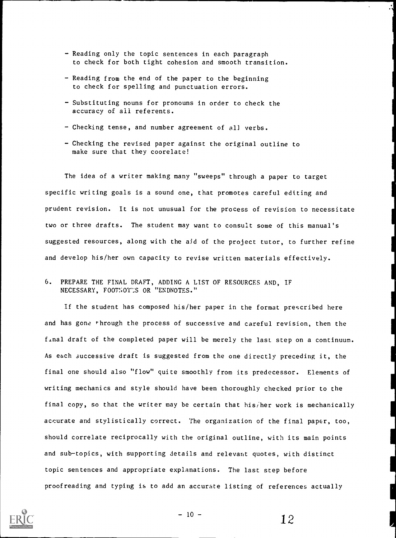- Reading only the topic sentences in each paragraph to check for both tight cohesion and smooth transition.
- Reading from the end of the paper to the beginning to check for spelling and punctuation errors.
- Substituting nouns for pronouns in order to check the accuracy of all referents.
- Checking tense, and number agreement of all verbs.
- Checking the revised paper against the original outline to make sure that they coorelate!

The idea of a writer making many "sweeps" through a paper to target specific writing goals is a sound one, that promotes careful editing and prudent revision. It is not unusual for the process of revision to necessitate two or three drafts. The student may want to consult some of this manual's suggested resources, along with the aid of the project tutor, to further refine and develop his/her own capacity to revise written materials effectively.

# 6. PREPARE THE FINAL DRAFT, ADDING A LIST OF RESOURCES AND, IF NECESSARY, FOOTNOTES OR "ENDNOTES."

If the student has composed his/her paper in the format prescribed here and has gone through the process of successive and careful revision, then the final draft of the completed paper will be merely the last step on a continuum. As each successive draft is suggested from the one directly preceding it, the final one should also "flow" quite smoothly from its predecessor. Elements of writing mechanics and style should have been thoroughly checked prior to the final copy, so that the writer may be certain that his/her work is mechanically accurate and stylistically correct. The organization of the final paper, too, should correlate reciprocally with the original outline, with its main points and sub-topics, with supporting details and relevant quotes, with distinct topic sentences and appropriate explanations. The last step before proofreading and typing is to add an accurate listing of references actually



 $10 - 12$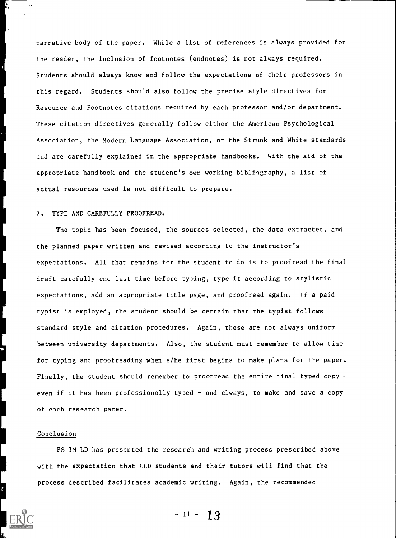narrative body of the paper. While a list of references is always provided for the reader, the inclusion of footnotes (endnotes) is not always required. Students should always know and follow the expectations of their professors in this regard. Students should also follow the precise style directives for Resource and Footnotes citations required by each professor and/or department. These citation directives generally follow either the American Psychological Association, the Modern Language Association, or the Strunk and White standards and are carefully explained in the appropriate handbooks. With the aid of the appropriate handbook and the student's own working bibliography, a list of actual resources used is not difficult to prepare.

# 7. TYPE AND CAREFULLY PROOFREAD.

The topic has been focused, the sources selected, the data extracted, and the planned paper written and revised according to the instructor's expectations. All that remains for the student to do is to proofread the final draft carefully cne last time before typing, type it according to stylistic expectations, add an appropriate title page, and proofread again. If a paid typist is employed, the student should be certain that the typist follows standard style and citation procedures. Again, these are not always uniform between university departments. Llso, the student must remember to allow time for typing and proofreading when s/he first begins to make plans for the paper. Finally, the student should remember to proofread the entire final typed copy even if it has been professionally typed - and always, to make and save a copy of each research paper.

### Conclusion

PS IM LD has presented the research and writing process prescribed above with the expectation that LLD students and their tutors will find that the process described facilitates academic writing. Again, the recommended

 $-11 - 13$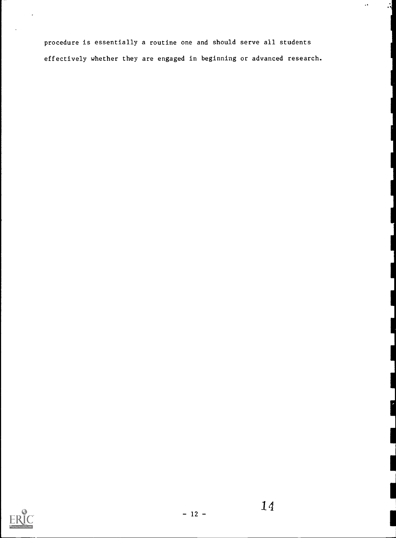procedure is essentially a routine one and should serve all students effectively whether they are engaged in beginning or advanced research.  $\epsilon$ 

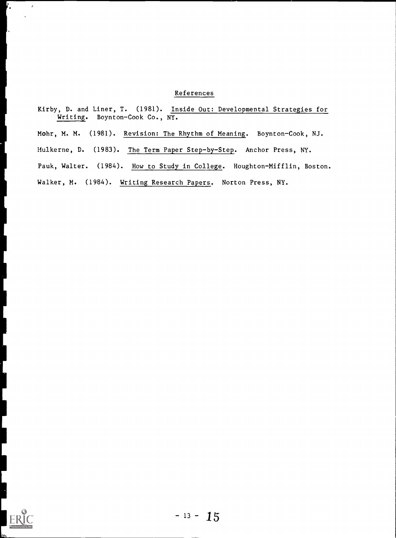# References

Kirby, D. and Liner, T. (1981). Inside Out: Developmental Strategies for Writing. Boynton-Cook Co., NY. Mohr, M. M. (1981). Revision: The Rhythm of Meaning. Boynton-Cook, NJ. Mulkerne, D. (1983). The Term Paper Step-by-Step. Anchor Press, NY. Pauk, Walter. (1984). How to Study in College. Houghton-Mifflin, Boston. Walker, M. (1984). Writing Research Papers. Norton Press, NY.



ſ.

 $\mathcal{L}$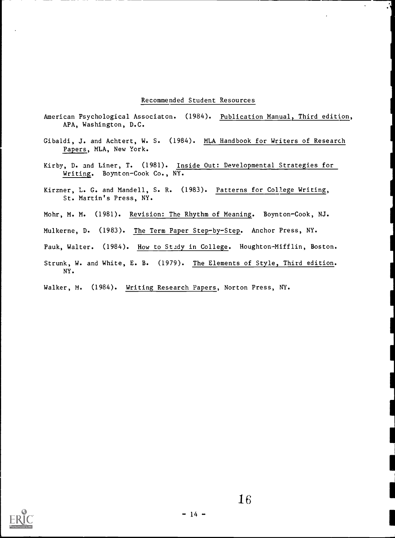## Recommended Student Resources

- American Psychological Associaton. (1984). Publication Manual, Third edition, APA, Washington, D.C.
- Gibaldi, J. and Achtert, W. S. (1984). MLA Handbook for Writers of Research Papers, MLA, New York.
- Kirby, D. and Liner, T. (1981). Inside Out: Developmental Strategies for Writing. Boynton-Cook Co., NY.
- Kirzner, L. G. and Mandell, S. R. (1983). Patterns for College Writing, St. Martin's Press, NY.
- Mohr, M. M. (1981). Revision: The Rhythm of Meaning. Boynton-Cook, NJ.
- Mulkerne, D. (1983). The Term Paper Step-by-Step. Anchor Press, NY.
- Pauk, Walter. (1984). How to Study in College. Houghton-Mifflin, Boston.
- Strunk, W. and White, E. B. (1979). The Elements of Style, Third edition. NY.
- Walker, M. (1984). Writing Research Papers, Norton Press, NY.